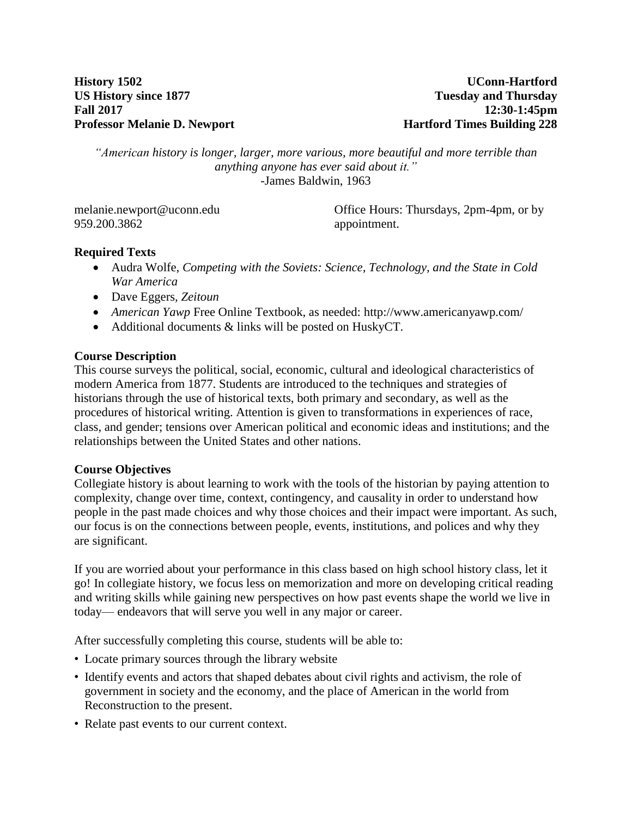**History 1502 US History since 1877 Fall 2017 Professor Melanie D. Newport**

**UConn-Hartford Tuesday and Thursday 12:30-1:45pm Hartford Times Building 228**

*"American history is longer, larger, more various, more beautiful and more terrible than anything anyone has ever said about it."* -James Baldwin, 1963

[melanie.newport@uconn.edu](mailto:melanie.newport@uconn.edu) 959.200.3862

Office Hours: Thursdays, 2pm-4pm, or by appointment.

### **Required Texts**

- Audra Wolfe, *Competing with the Soviets: Science, Technology, and the State in Cold War America*
- Dave Eggers*, Zeitoun*
- *American Yawp* Free Online Textbook, as needed: http://www.americanyawp.com/
- Additional documents & links will be posted on HuskyCT.

### **Course Description**

This course surveys the political, social, economic, cultural and ideological characteristics of modern America from 1877. Students are introduced to the techniques and strategies of historians through the use of historical texts, both primary and secondary, as well as the procedures of historical writing. Attention is given to transformations in experiences of race, class, and gender; tensions over American political and economic ideas and institutions; and the relationships between the United States and other nations.

### **Course Objectives**

Collegiate history is about learning to work with the tools of the historian by paying attention to complexity, change over time, context, contingency, and causality in order to understand how people in the past made choices and why those choices and their impact were important. As such, our focus is on the connections between people, events, institutions, and polices and why they are significant.

If you are worried about your performance in this class based on high school history class, let it go! In collegiate history, we focus less on memorization and more on developing critical reading and writing skills while gaining new perspectives on how past events shape the world we live in today— endeavors that will serve you well in any major or career.

After successfully completing this course, students will be able to:

- Locate primary sources through the library website
- Identify events and actors that shaped debates about civil rights and activism, the role of government in society and the economy, and the place of American in the world from Reconstruction to the present.
- Relate past events to our current context.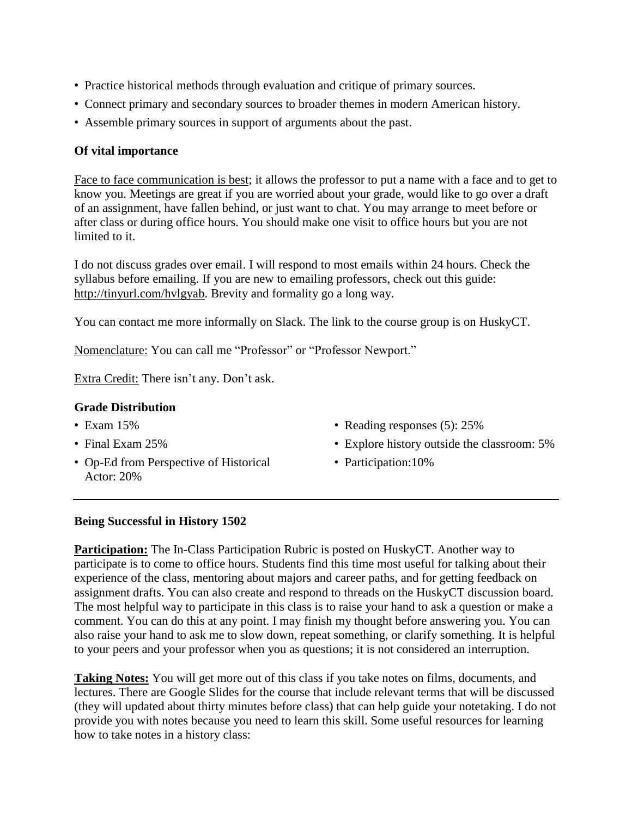- Practice historical methods through evaluation and critique of primary sources.
- Connect primary and secondary sources to broader themes in modern American history.
- Assemble primary sources in support of arguments about the past.

# **Of vital importance**

Face to face communication is best; it allows the professor to put a name with a face and to get to know you. Meetings are great if you are worried about your grade, would like to go over a draft of an assignment, have fallen behind, or just want to chat. You may arrange to meet before or after class or during office hours. You should make one visit to office hours but you are not limited to it.

I do not discuss grades over email. I will respond to most emails within 24 hours. Check the syllabus before emailing. If you are new to emailing professors, check out this guide: [http://tinyurl.com/hvlgyab.](http://tinyurl.com/hvlgyab) Brevity and formality go a long way.

You can contact me more informally on Slack. The link to the course group is on HuskyCT.

Nomenclature: You can call me "Professor" or "Professor Newport."

Extra Credit: There isn't any. Don't ask.

## **Grade Distribution**

- Exam 15%
- Final Exam 25%
- Op-Ed from Perspective of Historical Actor: 20%
- Reading responses (5): 25%
- Explore history outside the classroom: 5%
- Participation: 10%

### **Being Successful in History 1502**

**Participation:** The In-Class Participation Rubric is posted on HuskyCT. Another way to participate is to come to office hours. Students find this time most useful for talking about their experience of the class, mentoring about majors and career paths, and for getting feedback on assignment drafts. You can also create and respond to threads on the HuskyCT discussion board. The most helpful way to participate in this class is to raise your hand to ask a question or make a comment. You can do this at any point. I may finish my thought before answering you. You can also raise your hand to ask me to slow down, repeat something, or clarify something. It is helpful to your peers and your professor when you as questions; it is not considered an interruption.

**Taking Notes:** You will get more out of this class if you take notes on films, documents, and lectures. There are Google Slides for the course that include relevant terms that will be discussed (they will updated about thirty minutes before class) that can help guide your notetaking. I do not provide you with notes because you need to learn this skill. Some useful resources for learning how to take notes in a history class: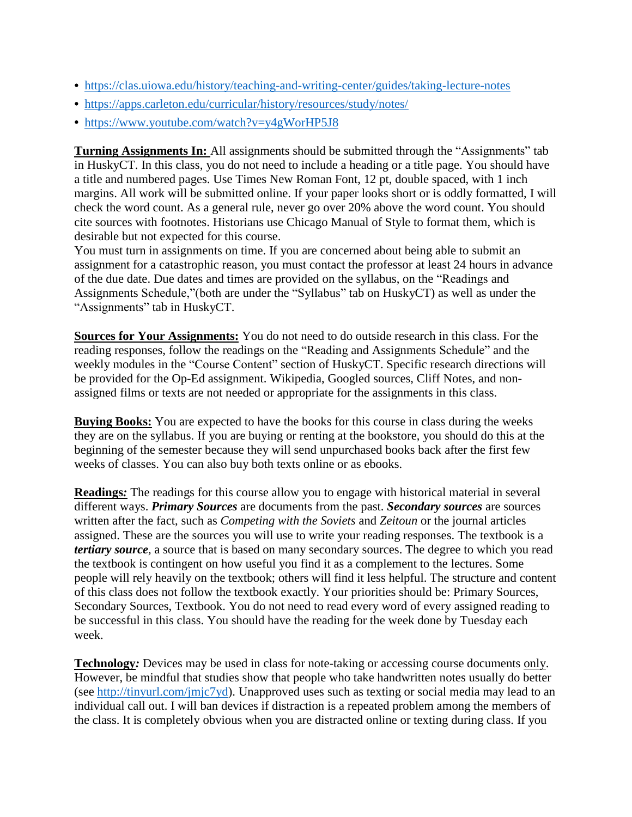- <https://clas.uiowa.edu/history/teaching-and-writing-center/guides/taking-lecture-notes>
- <https://apps.carleton.edu/curricular/history/resources/study/notes/>
- <https://www.youtube.com/watch?v=y4gWorHP5J8>

**Turning Assignments In:** All assignments should be submitted through the "Assignments" tab in HuskyCT. In this class, you do not need to include a heading or a title page. You should have a title and numbered pages. Use Times New Roman Font, 12 pt, double spaced, with 1 inch margins. All work will be submitted online. If your paper looks short or is oddly formatted, I will check the word count. As a general rule, never go over 20% above the word count. You should cite sources with footnotes. Historians use Chicago Manual of Style to format them, which is desirable but not expected for this course.

You must turn in assignments on time. If you are concerned about being able to submit an assignment for a catastrophic reason, you must contact the professor at least 24 hours in advance of the due date. Due dates and times are provided on the syllabus, on the "Readings and Assignments Schedule,"(both are under the "Syllabus" tab on HuskyCT) as well as under the "Assignments" tab in HuskyCT.

**Sources for Your Assignments:** You do not need to do outside research in this class. For the reading responses, follow the readings on the "Reading and Assignments Schedule" and the weekly modules in the "Course Content" section of HuskyCT. Specific research directions will be provided for the Op-Ed assignment. Wikipedia, Googled sources, Cliff Notes, and nonassigned films or texts are not needed or appropriate for the assignments in this class.

**Buying Books:** You are expected to have the books for this course in class during the weeks they are on the syllabus. If you are buying or renting at the bookstore, you should do this at the beginning of the semester because they will send unpurchased books back after the first few weeks of classes. You can also buy both texts online or as ebooks.

**Readings***:* The readings for this course allow you to engage with historical material in several different ways. *Primary Sources* are documents from the past. *Secondary sources* are sources written after the fact, such as *Competing with the Soviets* and *Zeitoun* or the journal articles assigned. These are the sources you will use to write your reading responses. The textbook is a *tertiary source,* a source that is based on many secondary sources. The degree to which you read the textbook is contingent on how useful you find it as a complement to the lectures. Some people will rely heavily on the textbook; others will find it less helpful. The structure and content of this class does not follow the textbook exactly. Your priorities should be: Primary Sources, Secondary Sources, Textbook. You do not need to read every word of every assigned reading to be successful in this class. You should have the reading for the week done by Tuesday each week.

**Technology***:* Devices may be used in class for note-taking or accessing course documents only. However, be mindful that studies show that people who take handwritten notes usually do better (see [http://tinyurl.com/jmjc7yd\)](http://tinyurl.com/jmjc7yd). Unapproved uses such as texting or social media may lead to an individual call out. I will ban devices if distraction is a repeated problem among the members of the class. It is completely obvious when you are distracted online or texting during class. If you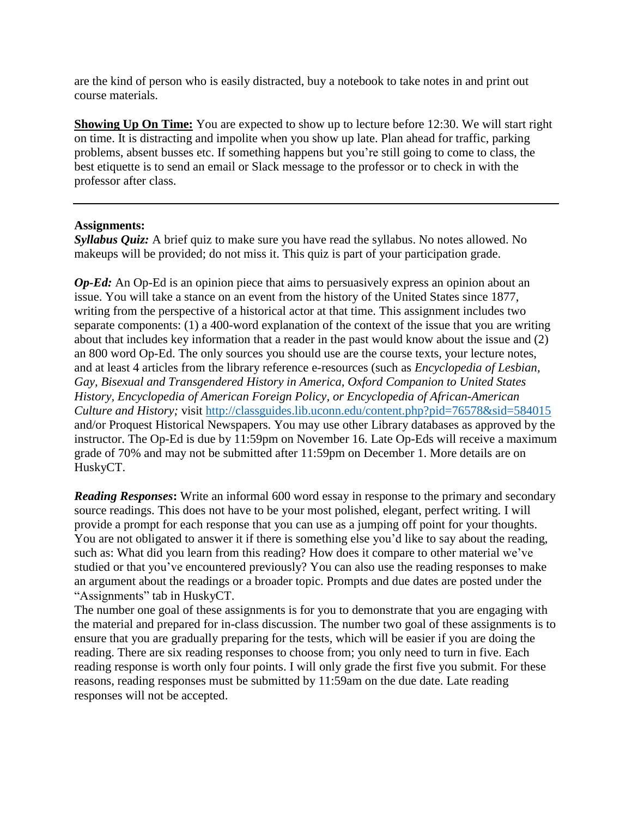are the kind of person who is easily distracted, buy a notebook to take notes in and print out course materials.

**Showing Up On Time:** You are expected to show up to lecture before 12:30. We will start right on time. It is distracting and impolite when you show up late. Plan ahead for traffic, parking problems, absent busses etc. If something happens but you're still going to come to class, the best etiquette is to send an email or Slack message to the professor or to check in with the professor after class.

### **Assignments:**

*Syllabus Quiz:* A brief quiz to make sure you have read the syllabus. No notes allowed. No makeups will be provided; do not miss it. This quiz is part of your participation grade.

*Op-Ed:* An Op-Ed is an opinion piece that aims to persuasively express an opinion about an issue. You will take a stance on an event from the history of the United States since 1877, writing from the perspective of a historical actor at that time. This assignment includes two separate components: (1) a 400-word explanation of the context of the issue that you are writing about that includes key information that a reader in the past would know about the issue and (2) an 800 word Op-Ed. The only sources you should use are the course texts, your lecture notes, and at least 4 articles from the library reference e-resources (such as *Encyclopedia of Lesbian, Gay, Bisexual and Transgendered History in America, Oxford Companion to United States History, Encyclopedia of American Foreign Policy, or Encyclopedia of African-American Culture and History;* visit <http://classguides.lib.uconn.edu/content.php?pid=76578&sid=584015> and/or Proquest Historical Newspapers. You may use other Library databases as approved by the instructor. The Op-Ed is due by 11:59pm on November 16. Late Op-Eds will receive a maximum grade of 70% and may not be submitted after 11:59pm on December 1. More details are on HuskyCT.

*Reading Responses***:** Write an informal 600 word essay in response to the primary and secondary source readings. This does not have to be your most polished, elegant, perfect writing. I will provide a prompt for each response that you can use as a jumping off point for your thoughts. You are not obligated to answer it if there is something else you'd like to say about the reading, such as: What did you learn from this reading? How does it compare to other material we've studied or that you've encountered previously? You can also use the reading responses to make an argument about the readings or a broader topic. Prompts and due dates are posted under the "Assignments" tab in HuskyCT.

The number one goal of these assignments is for you to demonstrate that you are engaging with the material and prepared for in-class discussion. The number two goal of these assignments is to ensure that you are gradually preparing for the tests, which will be easier if you are doing the reading. There are six reading responses to choose from; you only need to turn in five. Each reading response is worth only four points. I will only grade the first five you submit. For these reasons, reading responses must be submitted by 11:59am on the due date. Late reading responses will not be accepted.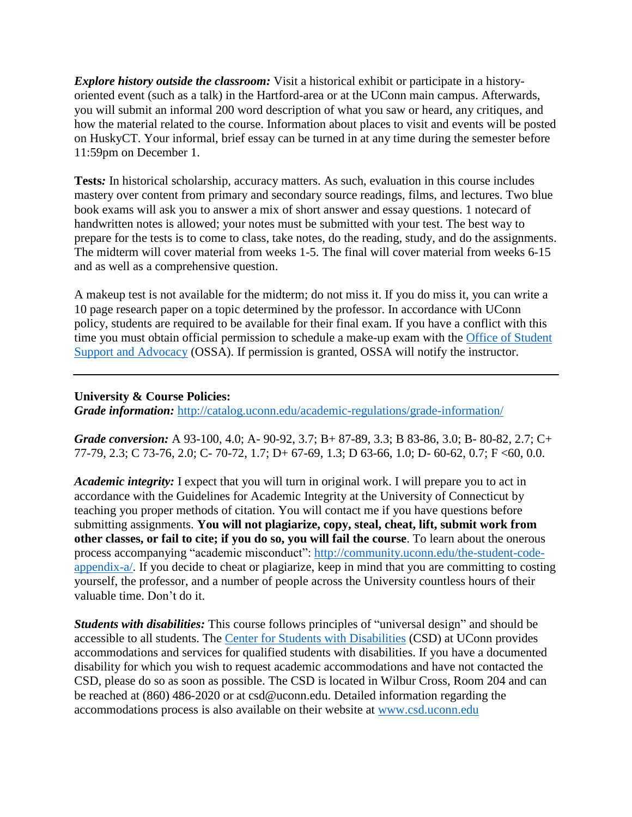*Explore history outside the classroom:* Visit a historical exhibit or participate in a historyoriented event (such as a talk) in the Hartford-area or at the UConn main campus. Afterwards, you will submit an informal 200 word description of what you saw or heard, any critiques, and how the material related to the course. Information about places to visit and events will be posted on HuskyCT. Your informal, brief essay can be turned in at any time during the semester before 11:59pm on December 1.

**Tests***:* In historical scholarship, accuracy matters. As such, evaluation in this course includes mastery over content from primary and secondary source readings, films, and lectures. Two blue book exams will ask you to answer a mix of short answer and essay questions. 1 notecard of handwritten notes is allowed; your notes must be submitted with your test. The best way to prepare for the tests is to come to class, take notes, do the reading, study, and do the assignments. The midterm will cover material from weeks 1-5. The final will cover material from weeks 6-15 and as well as a comprehensive question.

A makeup test is not available for the midterm; do not miss it. If you do miss it, you can write a 10 page research paper on a topic determined by the professor. In accordance with UConn policy, students are required to be available for their final exam. If you have a conflict with this time you must obtain official permission to schedule a make-up exam with the Office of [Student](http://www.ossa.uconn.edu/) Support and [Advocacy](http://www.ossa.uconn.edu/) (OSSA). If permission is granted, OSSA will notify the instructor.

# **University & Course Policies:**

*Grade information:* <http://catalog.uconn.edu/academic-regulations/grade-information/>

*Grade conversion:* A 93-100, 4.0; A- 90-92, 3.7; B+ 87-89, 3.3; B 83-86, 3.0; B- 80-82, 2.7; C+ 77-79, 2.3; C 73-76, 2.0; C- 70-72, 1.7; D+ 67-69, 1.3; D 63-66, 1.0; D- 60-62, 0.7; F <60, 0.0.

*Academic integrity:* I expect that you will turn in original work. I will prepare you to act in accordance with the Guidelines for Academic Integrity at the University of Connecticut by teaching you proper methods of citation. You will contact me if you have questions before submitting assignments. **You will not plagiarize, copy, steal, cheat, lift, submit work from other classes, or fail to cite; if you do so, you will fail the course**. To learn about the onerous process accompanying "academic misconduct": [http://community.uconn.edu/the-student-code](http://community.uconn.edu/the-student-code-appendix-a/)[appendix-a/.](http://community.uconn.edu/the-student-code-appendix-a/) If you decide to cheat or plagiarize, keep in mind that you are committing to costing yourself, the professor, and a number of people across the University countless hours of their valuable time. Don't do it.

*Students with disabilities:* This course follows principles of "universal design" and should be accessible to all students. The Center for Students with [Disabilities](http://www.csd.uconn.edu/) (CSD) at UConn provides accommodations and services for qualified students with disabilities. If you have a documented disability for which you wish to request academic accommodations and have not contacted the CSD, please do so as soon as possible. The CSD is located in Wilbur Cross, Room 204 and can be reached at (860) 486-2020 or at csd@uconn.edu. Detailed information regarding the accommodations process is also available on their website at [www.csd.uconn.edu](http://www.csd.uconn.edu/)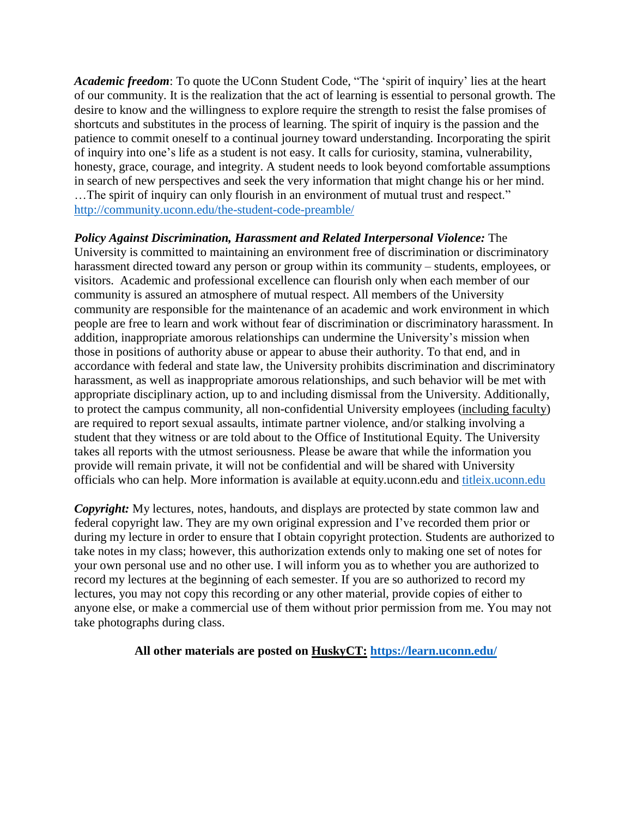*Academic freedom*: To quote the UConn Student Code, "The 'spirit of inquiry' lies at the heart of our community. It is the realization that the act of learning is essential to personal growth. The desire to know and the willingness to explore require the strength to resist the false promises of shortcuts and substitutes in the process of learning. The spirit of inquiry is the passion and the patience to commit oneself to a continual journey toward understanding. Incorporating the spirit of inquiry into one's life as a student is not easy. It calls for curiosity, stamina, vulnerability, honesty, grace, courage, and integrity. A student needs to look beyond comfortable assumptions in search of new perspectives and seek the very information that might change his or her mind. …The spirit of inquiry can only flourish in an environment of mutual trust and respect." <http://community.uconn.edu/the-student-code-preamble/>

*Policy Against Discrimination, Harassment and Related Interpersonal Violence:* The University is committed to maintaining an environment free of discrimination or discriminatory harassment directed toward any person or group within its community – students, employees, or visitors. Academic and professional excellence can flourish only when each member of our community is assured an atmosphere of mutual respect. All members of the University community are responsible for the maintenance of an academic and work environment in which people are free to learn and work without fear of discrimination or discriminatory harassment. In addition, inappropriate amorous relationships can undermine the University's mission when those in positions of authority abuse or appear to abuse their authority. To that end, and in accordance with federal and state law, the University prohibits discrimination and discriminatory harassment, as well as inappropriate amorous relationships, and such behavior will be met with appropriate disciplinary action, up to and including dismissal from the University. Additionally, to protect the campus community, all non-confidential University employees (including faculty) are required to report sexual assaults, intimate partner violence, and/or stalking involving a student that they witness or are told about to the Office of Institutional Equity. The University takes all reports with the utmost seriousness. Please be aware that while the information you provide will remain private, it will not be confidential and will be shared with University officials who can help. More information is available at equity.uconn.edu and [titleix.uconn.edu](http://titleix.uconn.edu/)

*Copyright:* My lectures, notes, handouts, and displays are protected by state common law and federal copyright law. They are my own original expression and I've recorded them prior or during my lecture in order to ensure that I obtain copyright protection. Students are authorized to take notes in my class; however, this authorization extends only to making one set of notes for your own personal use and no other use. I will inform you as to whether you are authorized to record my lectures at the beginning of each semester. If you are so authorized to record my lectures, you may not copy this recording or any other material, provide copies of either to anyone else, or make a commercial use of them without prior permission from me. You may not take photographs during class.

### **All other materials are posted on HuskyCT: <https://learn.uconn.edu/>**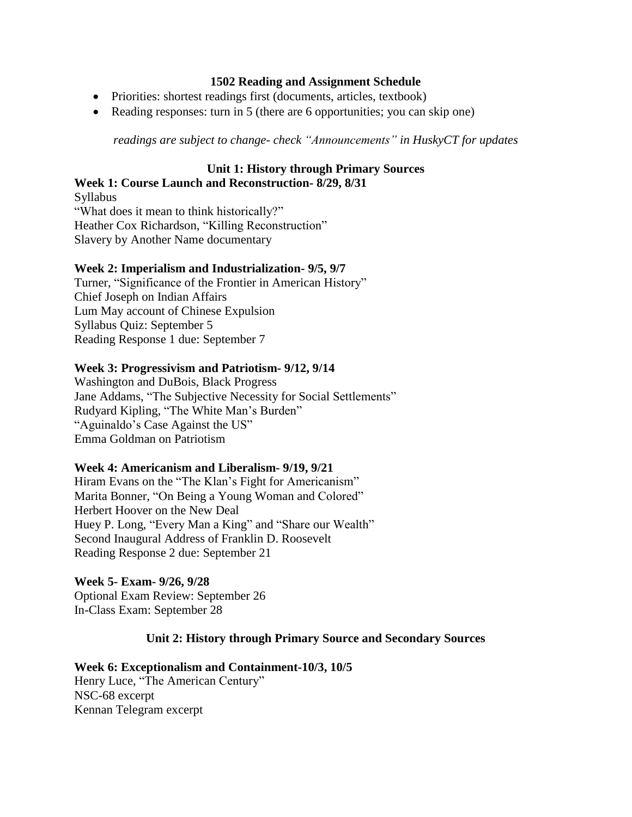# **1502 Reading and Assignment Schedule**

- Priorities: shortest readings first (documents, articles, textbook)
- Reading responses: turn in 5 (there are 6 opportunities; you can skip one)

*readings are subject to change- check "Announcements" in HuskyCT for updates*

#### **Unit 1: History through Primary Sources Week 1: Course Launch and Reconstruction- 8/29, 8/31**

Syllabus "What does it mean to think historically?" Heather Cox Richardson, "Killing Reconstruction" Slavery by Another Name documentary

# **Week 2: Imperialism and Industrialization- 9/5, 9/7**

Turner, "Significance of the Frontier in American History" Chief Joseph on Indian Affairs Lum May account of Chinese Expulsion Syllabus Quiz: September 5 Reading Response 1 due: September 7

# **Week 3: Progressivism and Patriotism- 9/12, 9/14**

Washington and DuBois, Black Progress Jane Addams, "The Subjective Necessity for Social Settlements" Rudyard Kipling, "The White Man's Burden" "Aguinaldo's Case Against the US" Emma Goldman on Patriotism

### **Week 4: Americanism and Liberalism- 9/19, 9/21**

Hiram Evans on the "The Klan's Fight for Americanism" Marita Bonner, "On Being a Young Woman and Colored" Herbert Hoover on the New Deal Huey P. Long, "Every Man a King" and "Share our Wealth" Second Inaugural Address of Franklin D. Roosevelt Reading Response 2 due: September 21

# **Week 5- Exam- 9/26, 9/28**

Optional Exam Review: September 26 In-Class Exam: September 28

# **Unit 2: History through Primary Source and Secondary Sources**

# **Week 6: Exceptionalism and Containment-10/3, 10/5**

Henry Luce, "The American Century" NSC-68 excerpt Kennan Telegram excerpt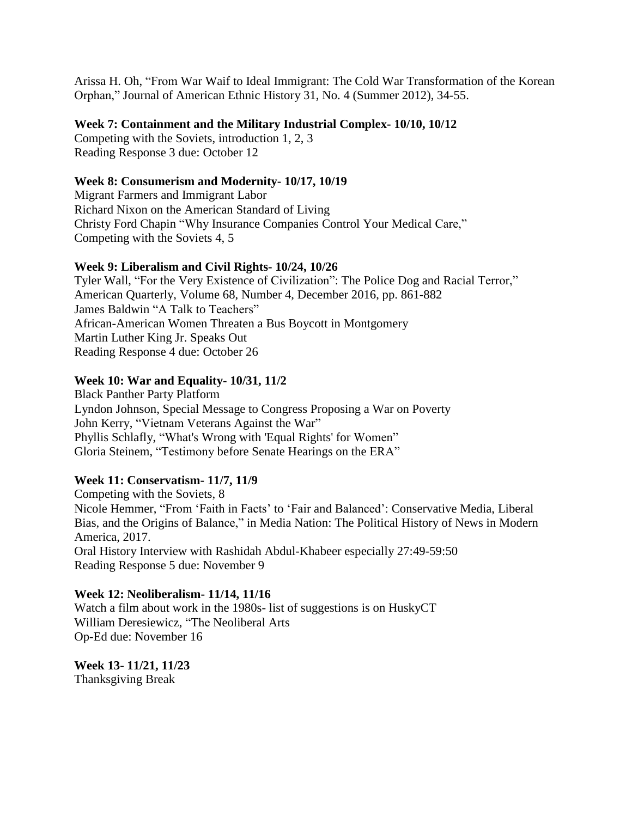Arissa H. Oh, "From War Waif to Ideal Immigrant: The Cold War Transformation of the Korean Orphan," Journal of American Ethnic History 31, No. 4 (Summer 2012), 34-55.

### **Week 7: Containment and the Military Industrial Complex- 10/10, 10/12**

Competing with the Soviets, introduction 1, 2, 3 Reading Response 3 due: October 12

# **Week 8: Consumerism and Modernity- 10/17, 10/19**

Migrant Farmers and Immigrant Labor Richard Nixon on the American Standard of Living Christy Ford Chapin "Why Insurance Companies Control Your Medical Care," Competing with the Soviets 4, 5

# **Week 9: Liberalism and Civil Rights- 10/24, 10/26**

Tyler Wall, "For the Very Existence of Civilization": The Police Dog and Racial Terror," American Quarterly, Volume 68, Number 4, December 2016, pp. 861-882 James Baldwin "A Talk to Teachers" African-American Women Threaten a Bus Boycott in Montgomery Martin Luther King Jr. Speaks Out Reading Response 4 due: October 26

# **Week 10: War and Equality- 10/31, 11/2**

Black Panther Party Platform Lyndon Johnson, Special Message to Congress Proposing a War on Poverty John Kerry, "Vietnam Veterans Against the War" Phyllis Schlafly, "What's Wrong with 'Equal Rights' for Women" Gloria Steinem, "Testimony before Senate Hearings on the ERA"

# **Week 11: Conservatism- 11/7, 11/9**

Competing with the Soviets, 8 Nicole Hemmer, "From 'Faith in Facts' to 'Fair and Balanced': Conservative Media, Liberal Bias, and the Origins of Balance," in Media Nation: The Political History of News in Modern America, 2017. Oral History Interview with Rashidah Abdul-Khabeer especially 27:49-59:50 Reading Response 5 due: November 9

# **Week 12: Neoliberalism- 11/14, 11/16**

Watch a film about work in the 1980s- list of suggestions is on HuskyCT William Deresiewicz, "The Neoliberal Arts Op-Ed due: November 16

**Week 13- 11/21, 11/23** Thanksgiving Break